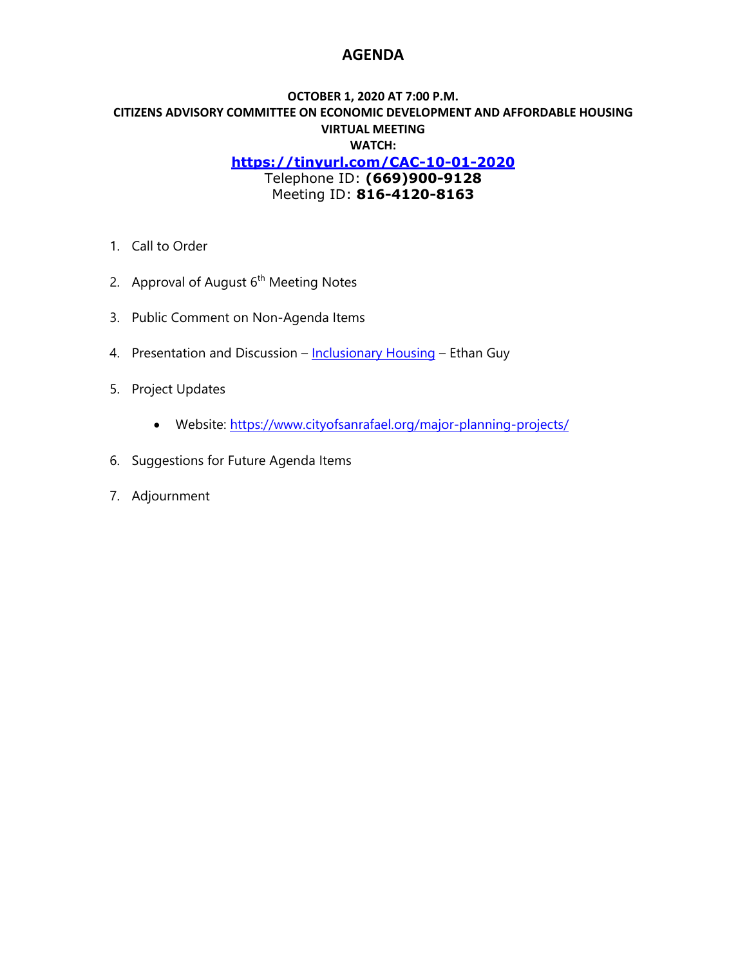## **AGENDA**

### **OCTOBER 1, 2020 AT 7:00 P.M. CITIZENS ADVISORY COMMITTEE ON ECONOMIC DEVELOPMENT AND AFFORDABLE HOUSING VIRTUAL MEETING WATCH: <https://tinyurl.com/CAC-10-01-2020>** Telephone ID: **(669)900-9128** Meeting ID: **816-4120-8163**

- 1. Call to Order
- 2. Approval of August  $6<sup>th</sup>$  Meeting Notes
- 3. Public Comment on Non-Agenda Items
- 4. Presentation and Discussion [Inclusionary Housing](https://storage.googleapis.com/proudcity/sanrafaelca/uploads/2020/09/5.a-Measures-to-Facilitate-Housing-Development-Streamline-Approvala.pdf) Ethan Guy
- 5. Project Updates
	- Website:<https://www.cityofsanrafael.org/major-planning-projects/>
- 6. Suggestions for Future Agenda Items
- 7. Adjournment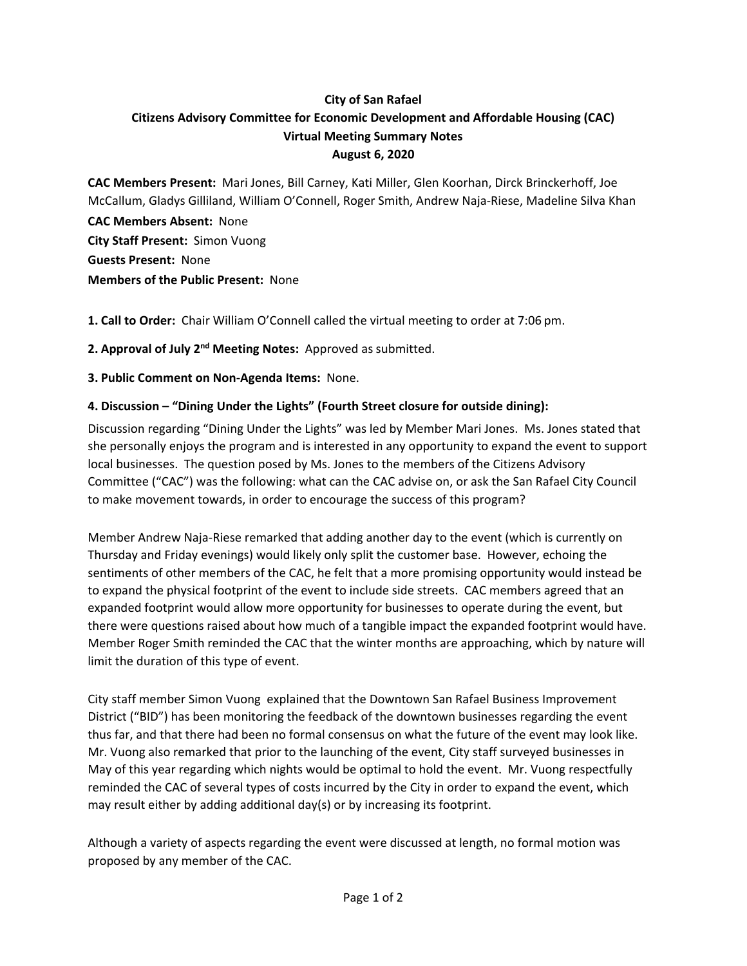# **City of San Rafael Citizens Advisory Committee for Economic Development and Affordable Housing (CAC) Virtual Meeting Summary Notes August 6, 2020**

**CAC Members Present:** Mari Jones, Bill Carney, Kati Miller, Glen Koorhan, Dirck Brinckerhoff, Joe McCallum, Gladys Gilliland, William O'Connell, Roger Smith, Andrew Naja-Riese, Madeline Silva Khan

**CAC Members Absent:** None **City Staff Present:** Simon Vuong **Guests Present:** None **Members of the Public Present:** None

**1. Call to Order:** Chair William O'Connell called the virtual meeting to order at 7:06 pm.

**2. Approval of July 2nd Meeting Notes:** Approved as submitted.

**3. Public Comment on Non-Agenda Items:** None.

## **4. Discussion – "Dining Under the Lights" (Fourth Street closure for outside dining):**

Discussion regarding "Dining Under the Lights" was led by Member Mari Jones. Ms. Jones stated that she personally enjoys the program and is interested in any opportunity to expand the event to support local businesses. The question posed by Ms. Jones to the members of the Citizens Advisory Committee ("CAC") was the following: what can the CAC advise on, or ask the San Rafael City Council to make movement towards, in order to encourage the success of this program?

Member Andrew Naja-Riese remarked that adding another day to the event (which is currently on Thursday and Friday evenings) would likely only split the customer base. However, echoing the sentiments of other members of the CAC, he felt that a more promising opportunity would instead be to expand the physical footprint of the event to include side streets. CAC members agreed that an expanded footprint would allow more opportunity for businesses to operate during the event, but there were questions raised about how much of a tangible impact the expanded footprint would have. Member Roger Smith reminded the CAC that the winter months are approaching, which by nature will limit the duration of this type of event.

City staff member Simon Vuong explained that the Downtown San Rafael Business Improvement District ("BID") has been monitoring the feedback of the downtown businesses regarding the event thus far, and that there had been no formal consensus on what the future of the event may look like. Mr. Vuong also remarked that prior to the launching of the event, City staff surveyed businesses in May of this year regarding which nights would be optimal to hold the event. Mr. Vuong respectfully reminded the CAC of several types of costs incurred by the City in order to expand the event, which may result either by adding additional day(s) or by increasing its footprint.

Although a variety of aspects regarding the event were discussed at length, no formal motion was proposed by any member of the CAC.